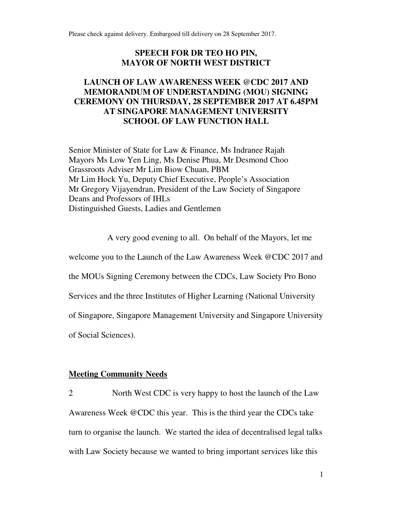Please check against delivery. Embargoed till delivery on 28 September 2017.

### **SPEECH FOR DR TEO HO PIN, MAYOR OF NORTH WEST DISTRICT**

# **LAUNCH OF LAW AWARENESS WEEK @CDC 2017 AND MEMORANDUM OF UNDERSTANDING (MOU) SIGNING CEREMONY ON THURSDAY, 28 SEPTEMBER 2017 AT 6.45PM AT SINGAPORE MANAGEMENT UNIVERSITY SCHOOL OF LAW FUNCTION HALL**

Senior Minister of State for Law & Finance, Ms Indranee Rajah Mayors Ms Low Yen Ling, Ms Denise Phua, Mr Desmond Choo Grassroots Adviser Mr Lim Biow Chuan, PBM Mr Lim Hock Yu, Deputy Chief Executive, People's Association Mr Gregory Vijayendran, President of the Law Society of Singapore Deans and Professors of IHLs Distinguished Guests, Ladies and Gentlemen

A very good evening to all. On behalf of the Mayors, let me welcome you to the Launch of the Law Awareness Week @CDC 2017 and the MOUs Signing Ceremony between the CDCs, Law Society Pro Bono Services and the three Institutes of Higher Learning (National University of Singapore, Singapore Management University and Singapore University of Social Sciences).

#### **Meeting Community Needs**

2 North West CDC is very happy to host the launch of the Law Awareness Week @CDC this year. This is the third year the CDCs take turn to organise the launch. We started the idea of decentralised legal talks with Law Society because we wanted to bring important services like this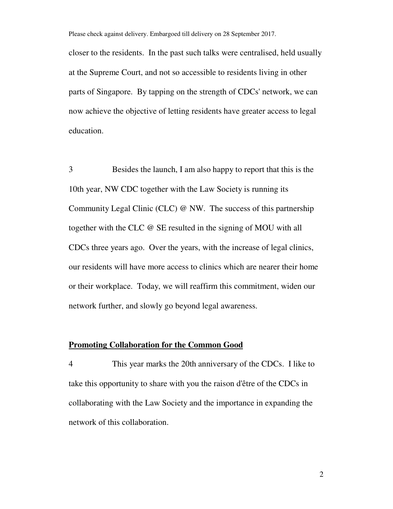Please check against delivery. Embargoed till delivery on 28 September 2017. closer to the residents. In the past such talks were centralised, held usually at the Supreme Court, and not so accessible to residents living in other parts of Singapore. By tapping on the strength of CDCs' network, we can now achieve the objective of letting residents have greater access to legal education.

3 Besides the launch, I am also happy to report that this is the 10th year, NW CDC together with the Law Society is running its Community Legal Clinic (CLC) @ NW. The success of this partnership together with the CLC @ SE resulted in the signing of MOU with all CDCs three years ago. Over the years, with the increase of legal clinics, our residents will have more access to clinics which are nearer their home or their workplace. Today, we will reaffirm this commitment, widen our network further, and slowly go beyond legal awareness.

#### **Promoting Collaboration for the Common Good**

4 This year marks the 20th anniversary of the CDCs. I like to take this opportunity to share with you the raison d'être of the CDCs in collaborating with the Law Society and the importance in expanding the network of this collaboration.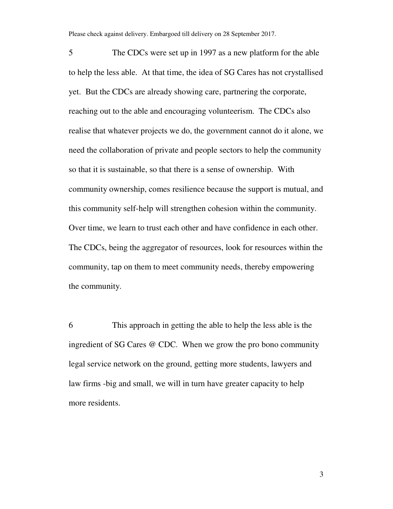Please check against delivery. Embargoed till delivery on 28 September 2017.

5 The CDCs were set up in 1997 as a new platform for the able to help the less able. At that time, the idea of SG Cares has not crystallised yet. But the CDCs are already showing care, partnering the corporate, reaching out to the able and encouraging volunteerism. The CDCs also realise that whatever projects we do, the government cannot do it alone, we need the collaboration of private and people sectors to help the community so that it is sustainable, so that there is a sense of ownership. With community ownership, comes resilience because the support is mutual, and this community self-help will strengthen cohesion within the community. Over time, we learn to trust each other and have confidence in each other. The CDCs, being the aggregator of resources, look for resources within the community, tap on them to meet community needs, thereby empowering the community.

6 This approach in getting the able to help the less able is the ingredient of SG Cares @ CDC. When we grow the pro bono community legal service network on the ground, getting more students, lawyers and law firms -big and small, we will in turn have greater capacity to help more residents.

3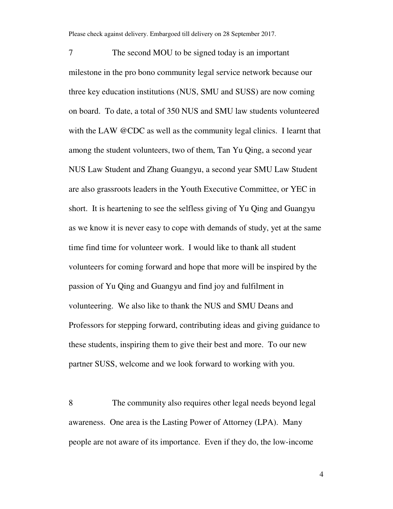Please check against delivery. Embargoed till delivery on 28 September 2017.

7 The second MOU to be signed today is an important milestone in the pro bono community legal service network because our three key education institutions (NUS, SMU and SUSS) are now coming on board. To date, a total of 350 NUS and SMU law students volunteered with the LAW @CDC as well as the community legal clinics. I learnt that among the student volunteers, two of them, Tan Yu Qing, a second year NUS Law Student and Zhang Guangyu, a second year SMU Law Student are also grassroots leaders in the Youth Executive Committee, or YEC in short. It is heartening to see the selfless giving of Yu Qing and Guangyu as we know it is never easy to cope with demands of study, yet at the same time find time for volunteer work. I would like to thank all student volunteers for coming forward and hope that more will be inspired by the passion of Yu Qing and Guangyu and find joy and fulfilment in volunteering. We also like to thank the NUS and SMU Deans and Professors for stepping forward, contributing ideas and giving guidance to these students, inspiring them to give their best and more. To our new partner SUSS, welcome and we look forward to working with you.

8 The community also requires other legal needs beyond legal awareness. One area is the Lasting Power of Attorney (LPA). Many people are not aware of its importance. Even if they do, the low-income

4